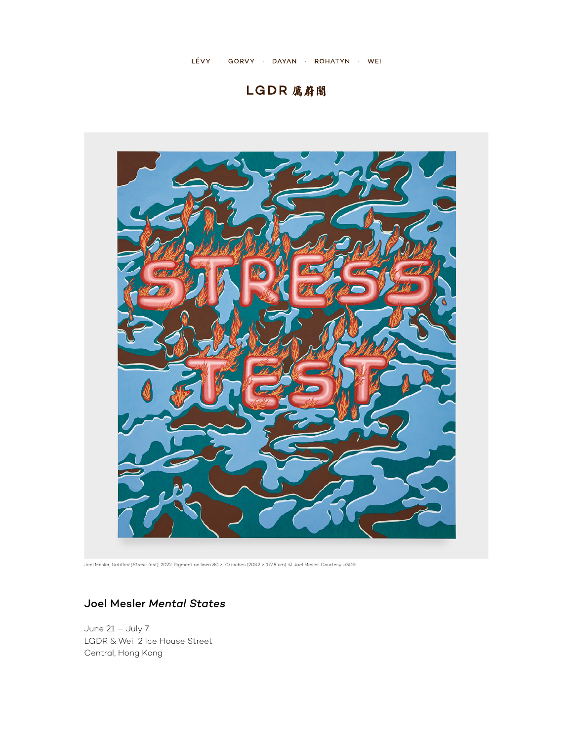# LGDR 厲蔚閣



Joel Mesler, *Untitled (Stress Test*), 2022. Pigment on linen 80 × 70 inches (203.2 × 177.8 cm). © Joel Mesler. Courtesy LGDR.

## Joel Mesler *Mental States*

June 21 – July 7 LGDR & Wei 2 Ice House Street Central, Hong Kong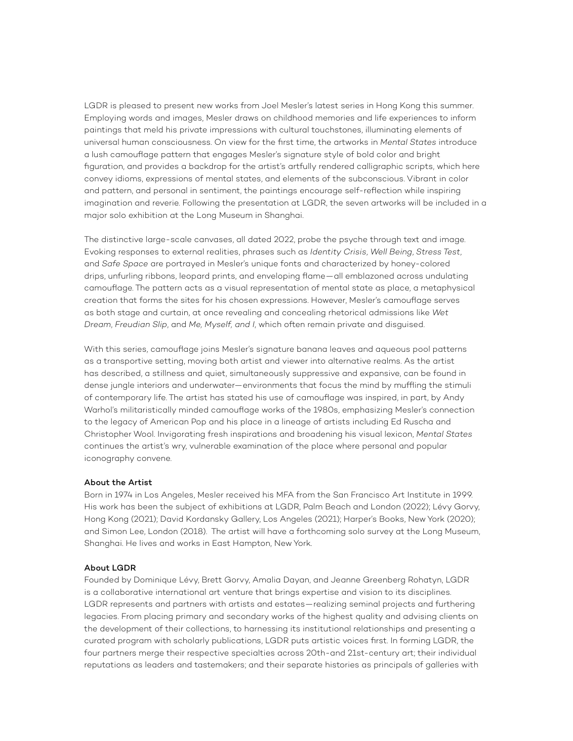LGDR is pleased to present new works from Joel Mesler's latest series in Hong Kong this summer. Employing words and images, Mesler draws on childhood memories and life experiences to inform paintings that meld his private impressions with cultural touchstones, illuminating elements of universal human consciousness. On view for the first time, the artworks in *Mental States* introduce a lush camouflage pattern that engages Mesler's signature style of bold color and bright figuration, and provides a backdrop for the artist's artfully rendered calligraphic scripts, which here convey idioms, expressions of mental states, and elements of the subconscious. Vibrant in color and pattern, and personal in sentiment, the paintings encourage self-reflection while inspiring imagination and reverie. Following the presentation at LGDR, the seven artworks will be included in a major solo exhibition at the Long Museum in Shanghai.

The distinctive large-scale canvases, all dated 2022, probe the psyche through text and image. Evoking responses to external realities, phrases such as *Identity Crisis*, *Well Being*, *Stress Test*, and *Safe Space* are portrayed in Mesler's unique fonts and characterized by honey-colored drips, unfurling ribbons, leopard prints, and enveloping flame—all emblazoned across undulating camouflage. The pattern acts as a visual representation of mental state as place, a metaphysical creation that forms the sites for his chosen expressions. However, Mesler's camouflage serves as both stage and curtain, at once revealing and concealing rhetorical admissions like *Wet Dream*, *Freudian Slip*, and *Me, Myself, and I*, which often remain private and disguised.

With this series, camouflage joins Mesler's signature banana leaves and aqueous pool patterns as a transportive setting, moving both artist and viewer into alternative realms. As the artist has described, a stillness and quiet, simultaneously suppressive and expansive, can be found in dense jungle interiors and underwater—environments that focus the mind by muffling the stimuli of contemporary life. The artist has stated his use of camouflage was inspired, in part, by Andy Warhol's militaristically minded camouflage works of the 1980s, emphasizing Mesler's connection to the legacy of American Pop and his place in a lineage of artists including Ed Ruscha and Christopher Wool. Invigorating fresh inspirations and broadening his visual lexicon, *Mental States*  continues the artist's wry, vulnerable examination of the place where personal and popular iconography convene.

#### About the Artist

Born in 1974 in Los Angeles, Mesler received his MFA from the San Francisco Art Institute in 1999. His work has been the subject of exhibitions at LGDR, Palm Beach and London (2022); Lévy Gorvy, Hong Kong (2021); David Kordansky Gallery, Los Angeles (2021); Harper's Books, New York (2020); and Simon Lee, London (2018). The artist will have a forthcoming solo survey at the Long Museum, Shanghai. He lives and works in East Hampton, New York.

#### About LGDR

Founded by Dominique Lévy, Brett Gorvy, Amalia Dayan, and Jeanne Greenberg Rohatyn, LGDR is a collaborative international art venture that brings expertise and vision to its disciplines. LGDR represents and partners with artists and estates—realizing seminal projects and furthering legacies. From placing primary and secondary works of the highest quality and advising clients on the development of their collections, to harnessing its institutional relationships and presenting a curated program with scholarly publications, LGDR puts artistic voices first. In forming LGDR, the four partners merge their respective specialties across 20th-and 21st-century art; their individual reputations as leaders and tastemakers; and their separate histories as principals of galleries with